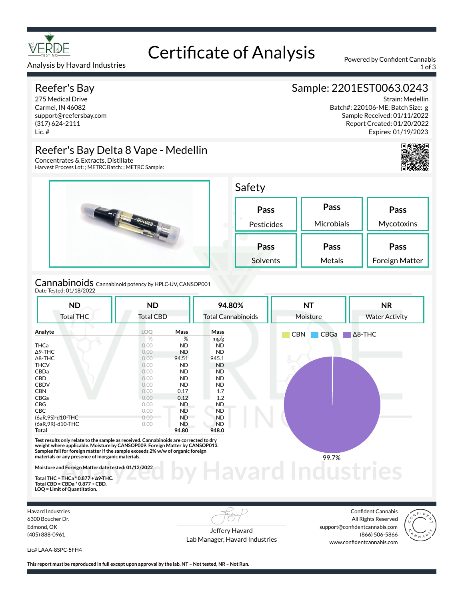

## Analysis by Havard Industries 1 of 3

## Reefer's Bay

275 Medical Drive Carmel, IN 46082 support@reefersbay.com (317) 624-2111 Lic. #

# Certificate of Analysis Powered by Confident Cannabis

# Sample: 2201EST0063.0243

Strain: Medellin Batch#: 220106-ME; Batch Size: g Sample Received: 01/11/2022 Report Created: 01/20/2022 Expires: 01/19/2023



# Reefer's Bay Delta 8 Vape - Medellin

Concentrates & Extracts, Distillate Harvest Process Lot: ; METRC Batch: ; METRC Sample:



Cannabinoids Cannabinoid potency by HPLC-UV, CANSOP001 Date Tested: 01/18/2022

| <b>ND</b>                                                                                                                                                                                                                                                                                                     | <b>ND</b>        |           | 94.80%                    | <b>NT</b>          | <b>NR</b>             |
|---------------------------------------------------------------------------------------------------------------------------------------------------------------------------------------------------------------------------------------------------------------------------------------------------------------|------------------|-----------|---------------------------|--------------------|-----------------------|
| <b>Total THC</b>                                                                                                                                                                                                                                                                                              | <b>Total CBD</b> |           | <b>Total Cannabinoids</b> | Moisture           | <b>Water Activity</b> |
| Analyte                                                                                                                                                                                                                                                                                                       | LOO              | Mass      | Mass                      | <b>CBN</b><br>CBGa | $\Delta$ 8-THC        |
|                                                                                                                                                                                                                                                                                                               | $\%$             | %         | mg/g                      |                    |                       |
| <b>THCa</b>                                                                                                                                                                                                                                                                                                   | 0.00             | <b>ND</b> | <b>ND</b>                 |                    |                       |
| $\Delta$ 9-THC                                                                                                                                                                                                                                                                                                | 0.00             | <b>ND</b> | ND.                       |                    |                       |
| $\Delta$ 8-THC                                                                                                                                                                                                                                                                                                | 0.00             | 94.51     | 945.1                     |                    |                       |
| <b>THCV</b>                                                                                                                                                                                                                                                                                                   | 0.00             | <b>ND</b> | <b>ND</b>                 |                    |                       |
| CBDa                                                                                                                                                                                                                                                                                                          | 0.00             | <b>ND</b> | ND.                       |                    |                       |
| CBD                                                                                                                                                                                                                                                                                                           | 0.00             | <b>ND</b> | <b>ND</b>                 |                    |                       |
| <b>CBDV</b>                                                                                                                                                                                                                                                                                                   | 0.00             | <b>ND</b> | ND.                       |                    |                       |
| <b>CBN</b>                                                                                                                                                                                                                                                                                                    | 0.00             | 0.17      | 1.7                       |                    |                       |
| CBGa                                                                                                                                                                                                                                                                                                          | 0.00             | 0.12      | 1.2                       |                    |                       |
| CBG                                                                                                                                                                                                                                                                                                           | 0.00             | ND.       | ND.                       |                    |                       |
| <b>CBC</b>                                                                                                                                                                                                                                                                                                    | 0.00             | <b>ND</b> | <b>ND</b>                 |                    |                       |
| (6aR, 9S)-d10-THC                                                                                                                                                                                                                                                                                             | 0.00             | <b>ND</b> | <b>ND</b>                 |                    |                       |
| (6aR, 9R)-d10-THC                                                                                                                                                                                                                                                                                             | 0.00             | <b>ND</b> | <b>ND</b>                 |                    |                       |
| Total                                                                                                                                                                                                                                                                                                         |                  | 94.80     | 948.0                     |                    |                       |
| Test results only relate to the sample as received. Cannabinoids are corrected to dry<br>weight where applicable. Moisture by CANSOP009. Foreign Matter by CANSOP013.<br>Samples fail for foreign matter if the sample exceeds 2% w/w of organic foreign<br>materials or any presence of inorganic materials. |                  |           |                           | 99.7%              |                       |
| Moisture and Foreign Matter date tested: 01/12/2022<br>Total THC = THCa $*$ 0.877 + $\Delta$ 9-THC.<br>$T_{11}$ $CDD - CDD - 80.077$ $CDD$                                                                                                                                                                    |                  |           |                           |                    |                       |

**Total THC = THCa \* 0.877 + ∆9-THC. Total CBD = CBDa \* 0.877 + CBD. LOQ = Limit of Quantitation.**

Havard Industries 6300 Boucher Dr. Edmond, OK (405) 888-0961

Jeffery Havard Lab Manager, Havard Industries

Confident Cannabis All Rights Reserved support@confidentcannabis.com (866) 506-5866 www.confidentcannabis.com



Lic# LAAA-8SPC-5FH4

**This report must be reproduced in full except upon approval by the lab. NT – Not tested, NR – Not Run.**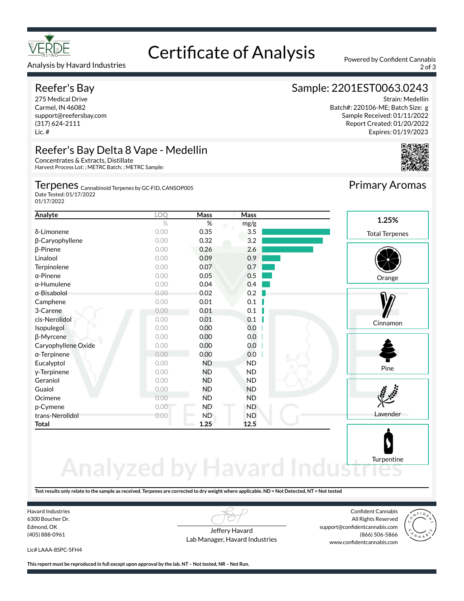

### Analysis by Havard Industries 2 of 3

# Reefer's Bay

275 Medical Drive Carmel, IN 46082 support@reefersbay.com (317) 624-2111 Lic. #

# Reefer's Bay Delta 8 Vape - Medellin

Concentrates & Extracts, Distillate Harvest Process Lot: ; METRC Batch: ; METRC Sample:

Terpenes <sub>Cannabinoid Terpenes by GC-FID, CANSOP005</sub> Date Tested: 01/17/2022

01/17/2022

# Sample: 2201EST0063.0243

Certificate of Analysis Powered by Confident Cannabis

Strain: Medellin Batch#: 220106-ME; Batch Size: g Sample Received: 01/11/2022 Report Created: 01/20/2022 Expires: 01/19/2023

Primary Aromas



| Analyte             | LOQ  | Mass      | Mass      |                       |
|---------------------|------|-----------|-----------|-----------------------|
|                     | $\%$ | $\%$      | mg/g      | 1.25%                 |
| δ-Limonene          | 0.00 | 0.35      | 3.5       | <b>Total Terpenes</b> |
| β-Caryophyllene     | 0.00 | 0.32      | 3.2       |                       |
| $\beta$ -Pinene     | 0.00 | 0.26      | 2.6       |                       |
| Linalool            | 0.00 | 0.09      | 0.9       |                       |
| Terpinolene         | 0.00 | 0.07      | 0.7       |                       |
| $\alpha$ -Pinene    | 0.00 | 0.05      | 0.5       | Orange                |
| $\alpha$ -Humulene  | 0.00 | 0.04      | 0.4       |                       |
| α-Bisabolol         | 0.00 | 0.02      | 0.2       |                       |
| Camphene            | 0.00 | 0.01      | 0.1       |                       |
| 3-Carene            | 0.00 | 0.01      | 0.1       |                       |
| cis-Nerolidol       | 0.00 | 0.01      | 0.1       | Cinnamon              |
| Isopulegol          | 0.00 | 0.00      | 0.0       |                       |
| β-Myrcene           | 0.00 | 0.00      | 0.0       |                       |
| Caryophyllene Oxide | 0.00 | 0.00      | 0.0       |                       |
| $\alpha$ -Terpinene | 0.00 | 0.00      | 0.0       |                       |
| Eucalyptol          | 0.00 | ND.       | <b>ND</b> |                       |
| y-Terpinene         | 0.00 | ND        | ND.       | Pine                  |
| Geraniol            | 0.00 | <b>ND</b> | ND.       |                       |
| Guaiol              | 0.00 | ND        | <b>ND</b> |                       |
| Ocimene             | 0.00 | ND        | <b>ND</b> |                       |
| p-Cymene            | 0.00 | ND.       | ND.       |                       |
| trans-Nerolidol     | 0.00 | <b>ND</b> | <b>ND</b> | Lavender              |
| Total               |      | 1.25      | 12.5      |                       |
|                     |      |           |           |                       |

# **Analyzed by Havard Indust Turpentine**

**Test results only relate to the sample as received. Terpenes are corrected to dry weight where applicable. ND = Not Detected, NT = Not tested**

Havard Industries 6300 Boucher Dr. Edmond, OK (405) 888-0961

Jeffery Havard Lab Manager, Havard Industries

Confident Cannabis All Rights Reserved support@confidentcannabis.com (866) 506-5866 www.confidentcannabis.com



Lic# LAAA-8SPC-5FH4

**This report must be reproduced in full except upon approval by the lab. NT – Not tested, NR – Not Run.**